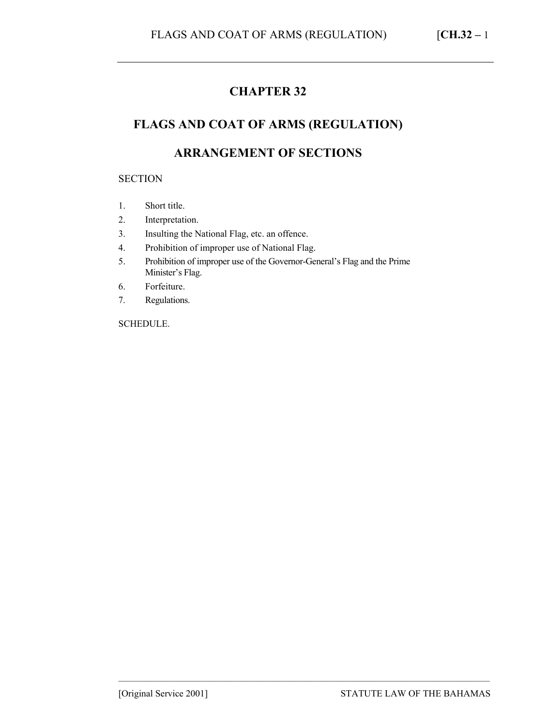# **CHAPTER 32**

## **FLAGS AND COAT OF ARMS (REGULATION)**

# **ARRANGEMENT OF SECTIONS**

#### **SECTION**

- 1. Short title.
- 2. Interpretation.
- 3. Insulting the National Flag, etc. an offence.
- 4. Prohibition of improper use of National Flag.
- 5. Prohibition of improper use of the Governor-General's Flag and the Prime Minister's Flag.
- 6. Forfeiture.
- 7. Regulations.

SCHEDULE.

–––––––––––––––––––––––––––––––––––––––––––––––––––––––––––––––––––––––––––––––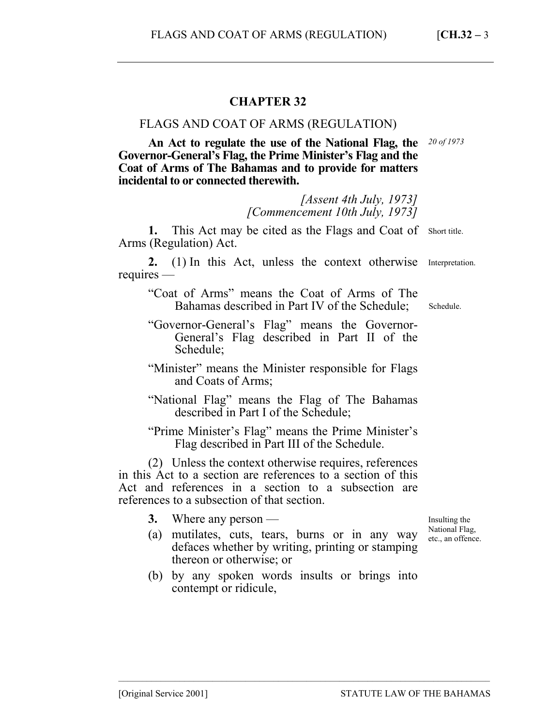## **CHAPTER 32**

### FLAGS AND COAT OF ARMS (REGULATION)

**An Act to regulate the use of the National Flag, the Governor-General's Flag, the Prime Minister's Flag and the Coat of Arms of The Bahamas and to provide for matters incidental to or connected therewith.**  *20 of 1973* 

> *[Assent 4th July, 1973] [Commencement 10th July, 1973]*

1. This Act may be cited as the Flags and Coat of Short title. Arms (Regulation) Act.

**2.** (1) In this Act, unless the context otherwise Interpretation. requires —

"Coat of Arms" means the Coat of Arms of The Bahamas described in Part IV of the Schedule;

- "Governor-General's Flag" means the Governor-General's Flag described in Part II of the Schedule;
- "Minister" means the Minister responsible for Flags and Coats of Arms;
- "National Flag" means the Flag of The Bahamas described in Part I of the Schedule;

"Prime Minister's Flag" means the Prime Minister's Flag described in Part III of the Schedule.

(2) Unless the context otherwise requires, references in this Act to a section are references to a section of this Act and references in a section to a subsection are references to a subsection of that section.

- **3.** Where any person —
- (a) mutilates, cuts, tears, burns or in any way defaces whether by writing, printing or stamping thereon or otherwise; or
- (b) by any spoken words insults or brings into contempt or ridicule,

–––––––––––––––––––––––––––––––––––––––––––––––––––––––––––––––––––––––––––––––

Insulting the National Flag, etc., an offence.

Schedule.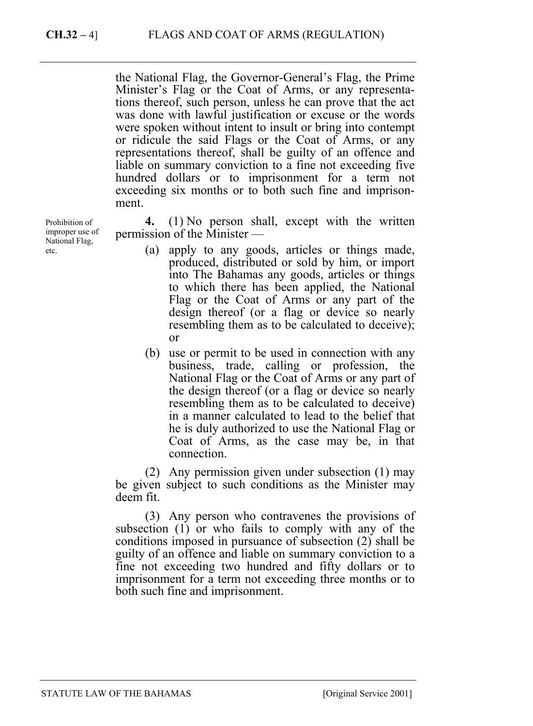the National Flag, the Governor-General's Flag, the Prime Minister's Flag or the Coat of Arms, or any representations thereof, such person, unless he can prove that the act was done with lawful justification or excuse or the words were spoken without intent to insult or bring into contempt or ridicule the said Flags or the Coat of Arms, or any representations thereof, shall be guilty of an offence and liable on summary conviction to a fine not exceeding five hundred dollars or to imprisonment for a term not exceeding six months or to both such fine and imprisonment.

**4.** (1) No person shall, except with the written permission of the Minister —

- (a) apply to any goods, articles or things made, produced, distributed or sold by him, or import into The Bahamas any goods, articles or things to which there has been applied, the National Flag or the Coat of Arms or any part of the design thereof (or a flag or device so nearly resembling them as to be calculated to deceive); or
- (b) use or permit to be used in connection with any business, trade, calling or profession, the National Flag or the Coat of Arms or any part of the design thereof (or a flag or device so nearly resembling them as to be calculated to deceive) in a manner calculated to lead to the belief that he is duly authorized to use the National Flag or Coat of Arms, as the case may be, in that connection.

(2) Any permission given under subsection (1) may be given subject to such conditions as the Minister may deem fit.

(3) Any person who contravenes the provisions of subsection (1) or who fails to comply with any of the conditions imposed in pursuance of subsection (2) shall be guilty of an offence and liable on summary conviction to a fine not exceeding two hundred and fifty dollars or to imprisonment for a term not exceeding three months or to both such fine and imprisonment.

Prohibition of improper use of National Flag, etc.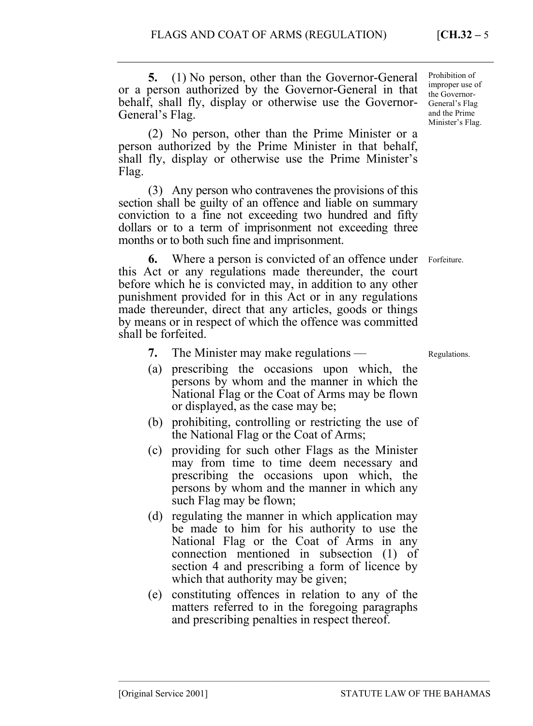**5.** (1) No person, other than the Governor-General or a person authorized by the Governor-General in that behalf, shall fly, display or otherwise use the Governor-General's Flag.

(2) No person, other than the Prime Minister or a person authorized by the Prime Minister in that behalf, shall fly, display or otherwise use the Prime Minister's Flag.

(3) Any person who contravenes the provisions of this section shall be guilty of an offence and liable on summary conviction to a fine not exceeding two hundred and fifty dollars or to a term of imprisonment not exceeding three months or to both such fine and imprisonment.

**6.** Where a person is convicted of an offence under Forfeiture. this Act or any regulations made thereunder, the court before which he is convicted may, in addition to any other punishment provided for in this Act or in any regulations made thereunder, direct that any articles, goods or things by means or in respect of which the offence was committed shall be forfeited.

- **7.** The Minister may make regulations —
- (a) prescribing the occasions upon which, the persons by whom and the manner in which the National Flag or the Coat of Arms may be flown or displayed, as the case may be;
- (b) prohibiting, controlling or restricting the use of the National Flag or the Coat of Arms;
- (c) providing for such other Flags as the Minister may from time to time deem necessary and prescribing the occasions upon which, the persons by whom and the manner in which any such Flag may be flown;
- (d) regulating the manner in which application may be made to him for his authority to use the National Flag or the Coat of Arms in any connection mentioned in subsection (1) of section 4 and prescribing a form of licence by which that authority may be given;
- (e) constituting offences in relation to any of the matters referred to in the foregoing paragraphs and prescribing penalties in respect thereof.

–––––––––––––––––––––––––––––––––––––––––––––––––––––––––––––––––––––––––––––––

Prohibition of improper use of the Governor-General's Flag and the Prime Minister's Flag.

Regulations.